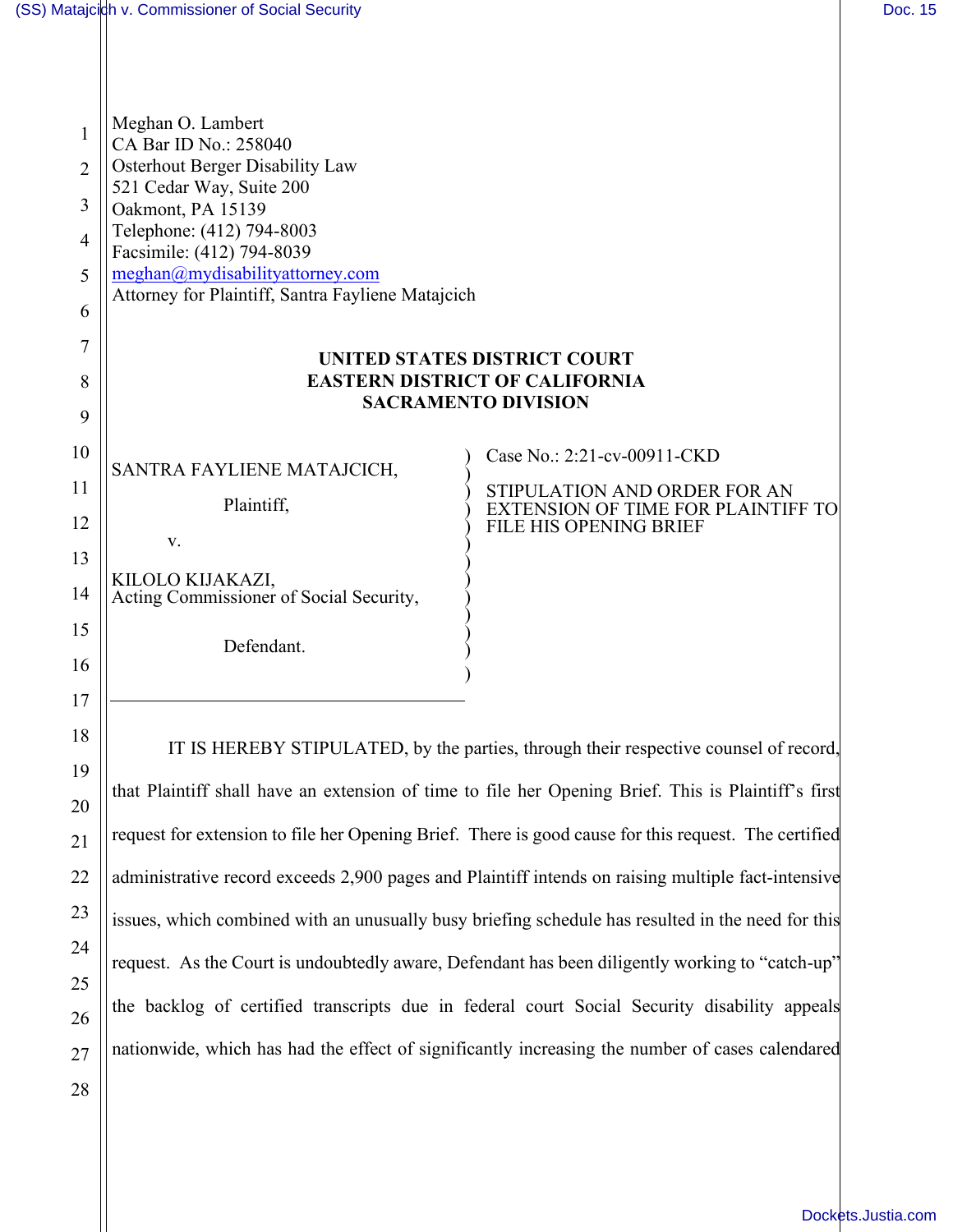| 1              | Meghan O. Lambert<br>CA Bar ID No.: 258040                                           |                                                              |  |
|----------------|--------------------------------------------------------------------------------------|--------------------------------------------------------------|--|
| $\overline{2}$ | <b>Osterhout Berger Disability Law</b>                                               |                                                              |  |
| 3<br>4         | 521 Cedar Way, Suite 200<br>Oakmont, PA 15139<br>Telephone: (412) 794-8003           |                                                              |  |
|                | Facsimile: (412) 794-8039                                                            |                                                              |  |
| 5              | meghan@mydisabilityattorney.com<br>Attorney for Plaintiff, Santra Fayliene Matajcich |                                                              |  |
| 6              |                                                                                      |                                                              |  |
| 7              |                                                                                      | UNITED STATES DISTRICT COURT                                 |  |
| 8              | <b>EASTERN DISTRICT OF CALIFORNIA</b>                                                |                                                              |  |
| 9              |                                                                                      | <b>SACRAMENTO DIVISION</b>                                   |  |
| 10             |                                                                                      | Case No.: 2:21-cv-00911-CKD                                  |  |
| 11             | SANTRA FAYLIENE MATAJCICH,<br>Plaintiff,                                             | STIPULATION AND ORDER FOR AN                                 |  |
| 12             |                                                                                      | EXTENSION OF TIME FOR PLAINTIFF TO<br>FILE HIS OPENING BRIEF |  |
| 13             | V.                                                                                   |                                                              |  |
| 14             | KILOLO KIJAKAZI,<br>Acting Commissioner of Social Security,                          |                                                              |  |
| 15             | Defendant.                                                                           |                                                              |  |
| 16             |                                                                                      |                                                              |  |

IT IS HEREBY STIPULATED, by the parties, through their respective counsel of record, that Plaintiff shall have an extension of time to file her Opening Brief. This is Plaintiff's first request for extension to file her Opening Brief. There is good cause for this request. The certified administrative record exceeds 2,900 pages and Plaintiff intends on raising multiple fact-intensive issues, which combined with an unusually busy briefing schedule has resulted in the need for this request. As the Court is undoubtedly aware, Defendant has been diligently working to "catch-up" the backlog of certified transcripts due in federal court Social Security disability appeals nationwide, which has had the effect of significantly increasing the number of cases calendared

28

17

18

19

20

21

22

23

24

25

26

27